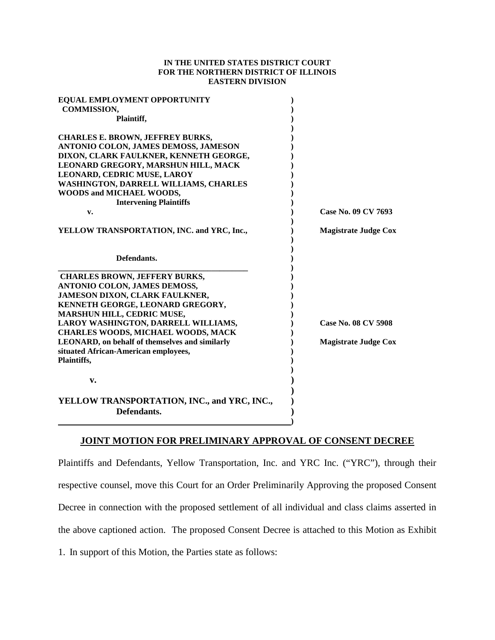#### **IN THE UNITED STATES DISTRICT COURT FOR THE NORTHERN DISTRICT OF ILLINOIS EASTERN DIVISION**

| EQUAL EMPLOYMENT OPPORTUNITY                               |                             |
|------------------------------------------------------------|-----------------------------|
| <b>COMMISSION,</b>                                         |                             |
| Plaintiff,                                                 |                             |
| <b>CHARLES E. BROWN, JEFFREY BURKS,</b>                    |                             |
| ANTONIO COLON, JAMES DEMOSS, JAMESON                       |                             |
| DIXON, CLARK FAULKNER, KENNETH GEORGE,                     |                             |
| LEONARD GREGORY, MARSHUN HILL, MACK                        |                             |
| LEONARD, CEDRIC MUSE, LAROY                                |                             |
| WASHINGTON, DARRELL WILLIAMS, CHARLES                      |                             |
| WOODS and MICHAEL WOODS,                                   |                             |
| <b>Intervening Plaintiffs</b>                              |                             |
| v.                                                         | Case No. 09 CV 7693         |
| YELLOW TRANSPORTATION, INC. and YRC, Inc.,                 | <b>Magistrate Judge Cox</b> |
| Defendants.                                                |                             |
| <b>CHARLES BROWN, JEFFERY BURKS,</b>                       |                             |
| ANTONIO COLON, JAMES DEMOSS,                               |                             |
| JAMESON DIXON, CLARK FAULKNER,                             |                             |
| KENNETH GEORGE, LEONARD GREGORY,                           |                             |
| MARSHUN HILL, CEDRIC MUSE,                                 |                             |
| LAROY WASHINGTON, DARRELL WILLIAMS,                        | Case No. 08 CV 5908         |
| <b>CHARLES WOODS, MICHAEL WOODS, MACK</b>                  |                             |
| LEONARD, on behalf of themselves and similarly             | <b>Magistrate Judge Cox</b> |
| situated African-American employees,                       |                             |
| Plaintiffs,                                                |                             |
| v.                                                         |                             |
| YELLOW TRANSPORTATION, INC., and YRC, INC.,<br>Defendants. |                             |

### **JOINT MOTION FOR PRELIMINARY APPROVAL OF CONSENT DECREE**

Plaintiffs and Defendants, Yellow Transportation, Inc. and YRC Inc. ("YRC"), through their respective counsel, move this Court for an Order Preliminarily Approving the proposed Consent Decree in connection with the proposed settlement of all individual and class claims asserted in the above captioned action. The proposed Consent Decree is attached to this Motion as Exhibit

1. In support of this Motion, the Parties state as follows: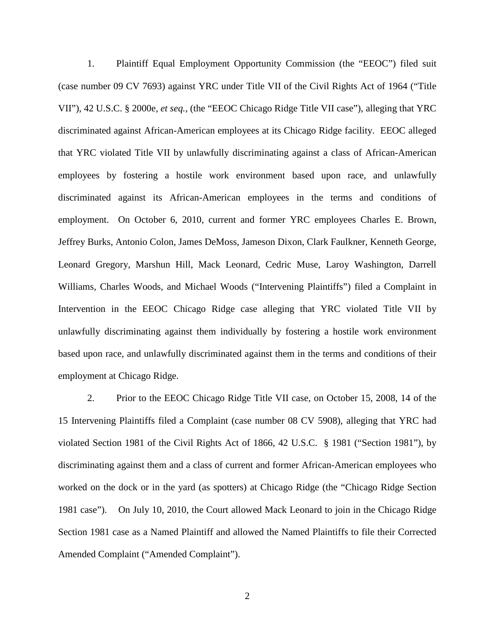1. Plaintiff Equal Employment Opportunity Commission (the "EEOC") filed suit (case number 09 CV 7693) against YRC under Title VII of the Civil Rights Act of 1964 ("Title VII"), 42 U.S.C. § 2000e, *et seq.*, (the "EEOC Chicago Ridge Title VII case"), alleging that YRC discriminated against African-American employees at its Chicago Ridge facility. EEOC alleged that YRC violated Title VII by unlawfully discriminating against a class of African-American employees by fostering a hostile work environment based upon race, and unlawfully discriminated against its African-American employees in the terms and conditions of employment. On October 6, 2010, current and former YRC employees Charles E. Brown, Jeffrey Burks, Antonio Colon, James DeMoss, Jameson Dixon, Clark Faulkner, Kenneth George, Leonard Gregory, Marshun Hill, Mack Leonard, Cedric Muse, Laroy Washington, Darrell Williams, Charles Woods, and Michael Woods ("Intervening Plaintiffs") filed a Complaint in Intervention in the EEOC Chicago Ridge case alleging that YRC violated Title VII by unlawfully discriminating against them individually by fostering a hostile work environment based upon race, and unlawfully discriminated against them in the terms and conditions of their employment at Chicago Ridge.

2. Prior to the EEOC Chicago Ridge Title VII case, on October 15, 2008, 14 of the 15 Intervening Plaintiffs filed a Complaint (case number 08 CV 5908), alleging that YRC had violated Section 1981 of the Civil Rights Act of 1866, 42 U.S.C. § 1981 ("Section 1981"), by discriminating against them and a class of current and former African-American employees who worked on the dock or in the yard (as spotters) at Chicago Ridge (the "Chicago Ridge Section 1981 case"). On July 10, 2010, the Court allowed Mack Leonard to join in the Chicago Ridge Section 1981 case as a Named Plaintiff and allowed the Named Plaintiffs to file their Corrected Amended Complaint ("Amended Complaint").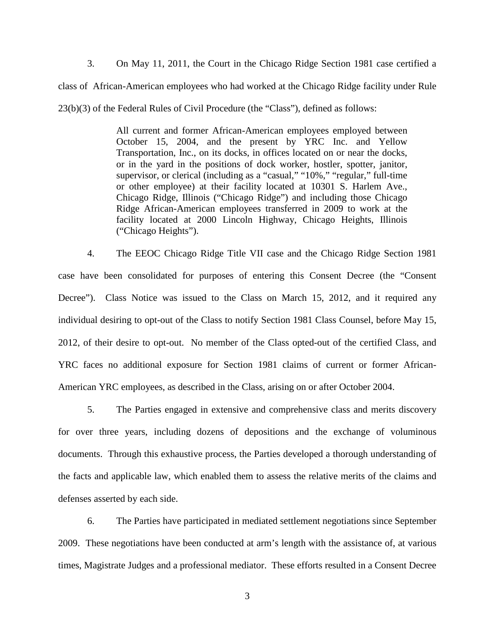3. On May 11, 2011, the Court in the Chicago Ridge Section 1981 case certified a class of African-American employees who had worked at the Chicago Ridge facility under Rule 23(b)(3) of the Federal Rules of Civil Procedure (the "Class"), defined as follows:

> All current and former African-American employees employed between October 15, 2004, and the present by YRC Inc. and Yellow Transportation, Inc., on its docks, in offices located on or near the docks, or in the yard in the positions of dock worker, hostler, spotter, janitor, supervisor, or clerical (including as a "casual," "10%," "regular," full-time or other employee) at their facility located at 10301 S. Harlem Ave., Chicago Ridge, Illinois ("Chicago Ridge") and including those Chicago Ridge African-American employees transferred in 2009 to work at the facility located at 2000 Lincoln Highway, Chicago Heights, Illinois ("Chicago Heights").

4. The EEOC Chicago Ridge Title VII case and the Chicago Ridge Section 1981 case have been consolidated for purposes of entering this Consent Decree (the "Consent Decree"). Class Notice was issued to the Class on March 15, 2012, and it required any individual desiring to opt-out of the Class to notify Section 1981 Class Counsel, before May 15, 2012, of their desire to opt-out. No member of the Class opted-out of the certified Class, and YRC faces no additional exposure for Section 1981 claims of current or former African-American YRC employees, as described in the Class, arising on or after October 2004.

5. The Parties engaged in extensive and comprehensive class and merits discovery for over three years, including dozens of depositions and the exchange of voluminous documents. Through this exhaustive process, the Parties developed a thorough understanding of the facts and applicable law, which enabled them to assess the relative merits of the claims and defenses asserted by each side.

6. The Parties have participated in mediated settlement negotiations since September 2009. These negotiations have been conducted at arm's length with the assistance of, at various times, Magistrate Judges and a professional mediator. These efforts resulted in a Consent Decree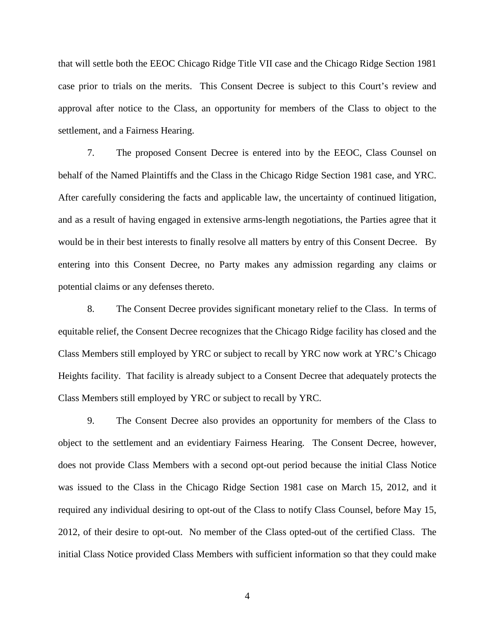that will settle both the EEOC Chicago Ridge Title VII case and the Chicago Ridge Section 1981 case prior to trials on the merits. This Consent Decree is subject to this Court's review and approval after notice to the Class, an opportunity for members of the Class to object to the settlement, and a Fairness Hearing.

7. The proposed Consent Decree is entered into by the EEOC, Class Counsel on behalf of the Named Plaintiffs and the Class in the Chicago Ridge Section 1981 case, and YRC. After carefully considering the facts and applicable law, the uncertainty of continued litigation, and as a result of having engaged in extensive arms-length negotiations, the Parties agree that it would be in their best interests to finally resolve all matters by entry of this Consent Decree. By entering into this Consent Decree, no Party makes any admission regarding any claims or potential claims or any defenses thereto.

8. The Consent Decree provides significant monetary relief to the Class. In terms of equitable relief, the Consent Decree recognizes that the Chicago Ridge facility has closed and the Class Members still employed by YRC or subject to recall by YRC now work at YRC's Chicago Heights facility. That facility is already subject to a Consent Decree that adequately protects the Class Members still employed by YRC or subject to recall by YRC.

9. The Consent Decree also provides an opportunity for members of the Class to object to the settlement and an evidentiary Fairness Hearing. The Consent Decree, however, does not provide Class Members with a second opt-out period because the initial Class Notice was issued to the Class in the Chicago Ridge Section 1981 case on March 15, 2012, and it required any individual desiring to opt-out of the Class to notify Class Counsel, before May 15, 2012, of their desire to opt-out. No member of the Class opted-out of the certified Class. The initial Class Notice provided Class Members with sufficient information so that they could make

4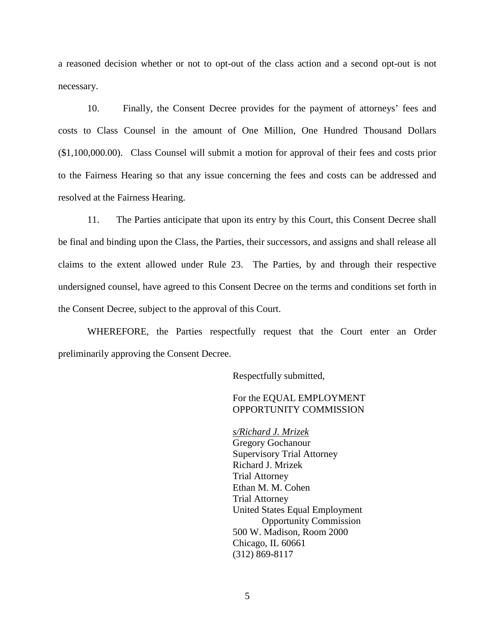a reasoned decision whether or not to opt-out of the class action and a second opt-out is not necessary.

10. Finally, the Consent Decree provides for the payment of attorneys' fees and costs to Class Counsel in the amount of One Million, One Hundred Thousand Dollars (\$1,100,000.00). Class Counsel will submit a motion for approval of their fees and costs prior to the Fairness Hearing so that any issue concerning the fees and costs can be addressed and resolved at the Fairness Hearing.

11. The Parties anticipate that upon its entry by this Court, this Consent Decree shall be final and binding upon the Class, the Parties, their successors, and assigns and shall release all claims to the extent allowed under Rule 23. The Parties, by and through their respective undersigned counsel, have agreed to this Consent Decree on the terms and conditions set forth in the Consent Decree, subject to the approval of this Court.

WHEREFORE, the Parties respectfully request that the Court enter an Order preliminarily approving the Consent Decree.

Respectfully submitted,

## For the EQUAL EMPLOYMENT OPPORTUNITY COMMISSION

Gregory Gochanour *s/Richard J. Mrizek* Supervisory Trial Attorney Richard J. Mrizek Trial Attorney Ethan M. M. Cohen Trial Attorney United States Equal Employment Opportunity Commission 500 W. Madison, Room 2000 Chicago, IL 60661 (312) 869-8117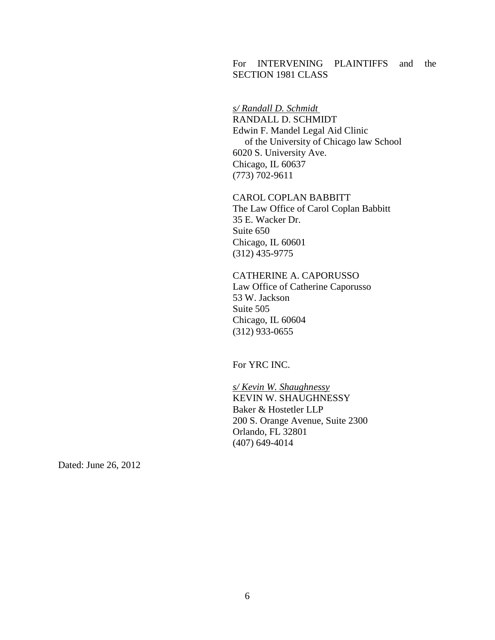# For INTERVENING PLAINTIFFS and the SECTION 1981 CLASS

RANDALL D. SCHMIDT *s/ Randall D. Schmidt* Edwin F. Mandel Legal Aid Clinic of the University of Chicago law School 6020 S. University Ave. Chicago, IL 60637 (773) 702-9611

CAROL COPLAN BABBITT The Law Office of Carol Coplan Babbitt 35 E. Wacker Dr. Suite 650 Chicago, IL 60601 (312) 435-9775

CATHERINE A. CAPORUSSO Law Office of Catherine Caporusso 53 W. Jackson Suite 505 Chicago, IL 60604 (312) 933-0655

For YRC INC.

KEVIN W. SHAUGHNESSY *s/ Kevin W. Shaughnessy* Baker & Hostetler LLP 200 S. Orange Avenue, Suite 2300 Orlando, FL 32801 (407) 649-4014

Dated: June 26, 2012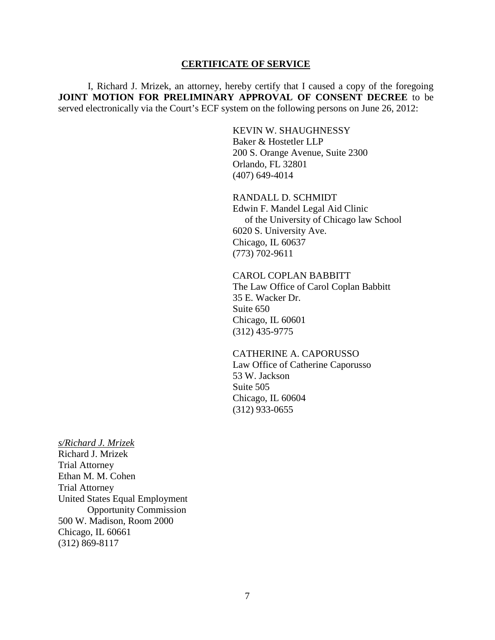#### **CERTIFICATE OF SERVICE**

I, Richard J. Mrizek, an attorney, hereby certify that I caused a copy of the foregoing **JOINT MOTION FOR PRELIMINARY APPROVAL OF CONSENT DECREE** to be served electronically via the Court's ECF system on the following persons on June 26, 2012:

> KEVIN W. SHAUGHNESSY Baker & Hostetler LLP 200 S. Orange Avenue, Suite 2300 Orlando, FL 32801 (407) 649-4014

RANDALL D. SCHMIDT Edwin F. Mandel Legal Aid Clinic of the University of Chicago law School 6020 S. University Ave. Chicago, IL 60637 (773) 702-9611

CAROL COPLAN BABBITT The Law Office of Carol Coplan Babbitt 35 E. Wacker Dr. Suite 650 Chicago, IL 60601 (312) 435-9775

## CATHERINE A. CAPORUSSO Law Office of Catherine Caporusso 53 W. Jackson Suite 505 Chicago, IL 60604

(312) 933-0655

Richard J. Mrizek *s/Richard J. Mrizek* Trial Attorney Ethan M. M. Cohen Trial Attorney United States Equal Employment Opportunity Commission

500 W. Madison, Room 2000 Chicago, IL 60661 (312) 869-8117